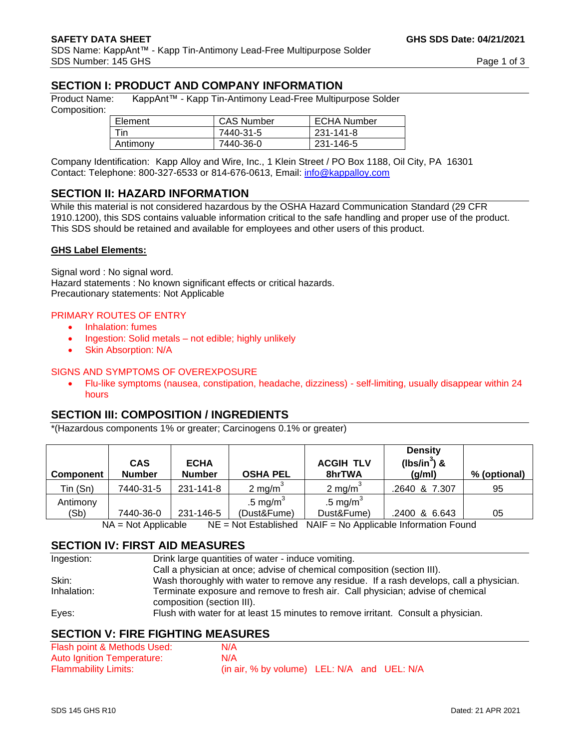# **SECTION I: PRODUCT AND COMPANY INFORMATION**

Product Name: KappAnt™ - Kapp Tin-Antimony Lead-Free Multipurpose Solder Composition:

| Element  | <b>CAS Number</b> | <b>ECHA Number</b> |
|----------|-------------------|--------------------|
| Tin      | 7440-31-5         | 231-141-8          |
| Antimony | 7440-36-0         | 231-146-5          |

Company Identification: Kapp Alloy and Wire, Inc., 1 Klein Street / PO Box 1188, Oil City, PA 16301 Contact: Telephone: 800-327-6533 or 814-676-0613, Email: [info@kappalloy.com](mailto:info@kappalloy.com)

## **SECTION II: HAZARD INFORMATION**

While this material is not considered hazardous by the OSHA Hazard Communication Standard (29 CFR 1910.1200), this SDS contains valuable information critical to the safe handling and proper use of the product. This SDS should be retained and available for employees and other users of this product.

#### **GHS Label Elements:**

Signal word : No signal word. Hazard statements : No known significant effects or critical hazards. Precautionary statements: Not Applicable

#### PRIMARY ROUTES OF ENTRY

- Inhalation: fumes
- Ingestion: Solid metals not edible; highly unlikely
- Skin Absorption: N/A

#### SIGNS AND SYMPTOMS OF OVEREXPOSURE

• Flu-like symptoms (nausea, constipation, headache, dizziness) - self-limiting, usually disappear within 24 hours

#### **SECTION III: COMPOSITION / INGREDIENTS**

\*(Hazardous components 1% or greater; Carcinogens 0.1% or greater)

| <b>Component</b> | <b>CAS</b><br><b>Number</b> | <b>ECHA</b><br><b>Number</b> | <b>OSHA PEL</b>    | <b>ACGIH TLV</b><br>8hrTWA | <b>Density</b><br>( $lbs/in^3$ ) &<br>(g/ml) | % (optional) |
|------------------|-----------------------------|------------------------------|--------------------|----------------------------|----------------------------------------------|--------------|
| Tin (Sn)         | 7440-31-5                   | 231-141-8                    | $2 \text{ mg/m}^3$ | $2 \text{ mg/m}$           | .2640 & 7.307                                | 95           |
| Antimony         |                             |                              | .5 mg/m $3$        | .5 mg/ $m^3$               |                                              |              |
| (Sb)             | 7440-36-0                   | 231-146-5                    | (Dust&Fume)        | Dust&Fume)                 | .2400 & 6.643                                | 05           |

NA = Not Applicable NE = Not Established NAIF = No Applicable Information Found

## **SECTION IV: FIRST AID MEASURES**

| Ingestion:  | Drink large quantities of water - induce vomiting.                                                           |
|-------------|--------------------------------------------------------------------------------------------------------------|
|             | Call a physician at once; advise of chemical composition (section III).                                      |
| Skin:       | Wash thoroughly with water to remove any residue. If a rash develops, call a physician.                      |
| Inhalation: | Terminate exposure and remove to fresh air. Call physician; advise of chemical<br>composition (section III). |
| Eyes:       | Flush with water for at least 15 minutes to remove irritant. Consult a physician.                            |

## **SECTION V: FIRE FIGHTING MEASURES**

| Flash point & Methods Used: | N/A                                         |  |  |
|-----------------------------|---------------------------------------------|--|--|
| Auto Ignition Temperature:  | N/A                                         |  |  |
| <b>Flammability Limits:</b> | (in air, % by volume) LEL: N/A and UEL: N/A |  |  |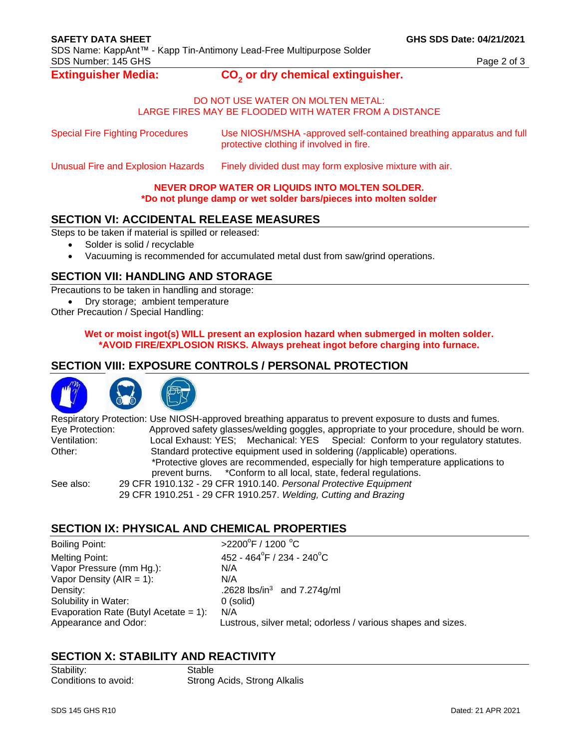#### **Extinguisher Media:**

## **or dry chemical extinguisher.**

#### DO NOT USE WATER ON MOLTEN METAL: LARGE FIRES MAY BE FLOODED WITH WATER FROM A DISTANCE

| <b>Special Fire Fighting Procedures</b> | Use NIOSH/MSHA -approved self-contained breathing apparatus and full |
|-----------------------------------------|----------------------------------------------------------------------|
|                                         | protective clothing if involved in fire.                             |

Unusual Fire and Explosion Hazards Finely divided dust may form explosive mixture with air.

### **NEVER DROP WATER OR LIQUIDS INTO MOLTEN SOLDER.**

### **\*Do not plunge damp or wet solder bars/pieces into molten solder**

## **SECTION VI: ACCIDENTAL RELEASE MEASURES**

Steps to be taken if material is spilled or released:

- Solder is solid / recyclable
- Vacuuming is recommended for accumulated metal dust from saw/grind operations.

# **SECTION VII: HANDLING AND STORAGE**

Precautions to be taken in handling and storage:

• Dry storage; ambient temperature

Other Precaution / Special Handling:

#### **Wet or moist ingot(s) WILL present an explosion hazard when submerged in molten solder. \*AVOID FIRE/EXPLOSION RISKS. Always preheat ingot before charging into furnace.**

## **SECTION VIII: EXPOSURE CONTROLS / PERSONAL PROTECTION**





|                                                                                     | Respiratory Protection: Use NIOSH-approved breathing apparatus to prevent exposure to dusts and fumes. |  |  |  |
|-------------------------------------------------------------------------------------|--------------------------------------------------------------------------------------------------------|--|--|--|
| Eye Protection:                                                                     | Approved safety glasses/welding goggles, appropriate to your procedure, should be worn.                |  |  |  |
| Ventilation:                                                                        | Local Exhaust: YES; Mechanical: YES Special: Conform to your regulatory statutes.                      |  |  |  |
| Other:                                                                              | Standard protective equipment used in soldering (/applicable) operations.                              |  |  |  |
| *Protective gloves are recommended, especially for high temperature applications to |                                                                                                        |  |  |  |
|                                                                                     | prevent burns. *Conform to all local, state, federal regulations.                                      |  |  |  |
| See also:                                                                           | 29 CFR 1910.132 - 29 CFR 1910.140. Personal Protective Equipment                                       |  |  |  |
|                                                                                     | 29 CFR 1910.251 - 29 CFR 1910.257. Welding, Cutting and Brazing                                        |  |  |  |

## **SECTION IX: PHYSICAL AND CHEMICAL PROPERTIES**

Boiling Point: Melting Point: Vapor Pressure (mm Hg.): N/A Vapor Density (AIR = 1): N/A Density: **Density:** 2628 lbs/in<sup>3</sup> and 7.274g/ml Solubility in Water: 0 (solid) Evaporation Rate (Butyl Acetate =  $1$ ): N/A

 $F$  / 1200  $^{\circ}$ C  $F / 234 - 240^{\circ}$ C Appearance and Odor: Lustrous, silver metal; odorless / various shapes and sizes.

# **SECTION X: STABILITY AND REACTIVITY**

Stability: Stable

Conditions to avoid: Strong Acids, Strong Alkalis